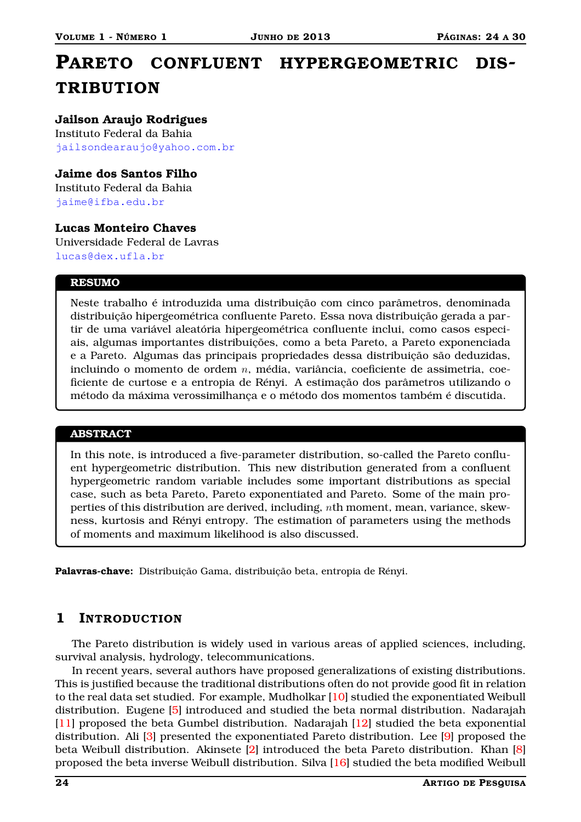# **PARETO CONFLUENT HYPERGEOMETRIC DIS-TRIBUTION**

**Jailson Araujo Rodrigues** Instituto Federal da Bahia <jailsondearaujo@yahoo.com.br>

## **Jaime dos Santos Filho**

Instituto Federal da Bahia <jaime@ifba.edu.br>

### **Lucas Monteiro Chaves**

Universidade Federal de Lavras <lucas@dex.ufla.br>

#### **RESUMO**

Neste trabalho é introduzida uma distribuição com cinco parâmetros, denominada distribuição hipergeométrica confluente Pareto. Essa nova distribuição gerada a partir de uma variável aleatória hipergeométrica confluente inclui, como casos especiais, algumas importantes distribuições, como a beta Pareto, a Pareto exponenciada e a Pareto. Algumas das principais propriedades dessa distribuição são deduzidas, incluindo o momento de ordem n, média, variância, coeficiente de assimetria, coeficiente de curtose e a entropia de Rényi. A estimação dos parâmetros utilizando o método da máxima verossimilhança e o método dos momentos também é discutida.

#### **ABSTRACT**

In this note, is introduced a five-parameter distribution, so-called the Pareto confluent hypergeometric distribution. This new distribution generated from a confluent hypergeometric random variable includes some important distributions as special case, such as beta Pareto, Pareto exponentiated and Pareto. Some of the main properties of this distribution are derived, including, nth moment, mean, variance, skewness, kurtosis and Rényi entropy. The estimation of parameters using the methods of moments and maximum likelihood is also discussed.

**Palavras-chave:** Distribuição Gama, distribuição beta, entropia de Rényi.

# **1 INTRODUCTION**

The Pareto distribution is widely used in various areas of applied sciences, including, survival analysis, hydrology, telecommunications.

In recent years, several authors have proposed generalizations of existing distributions. This is justified because the traditional distributions often do not provide good fit in relation to the real data set studied. For example, Mudholkar [\[10\]](#page-6-0) studied the exponentiated Weibull distribution. Eugene [\[5\]](#page-6-1) introduced and studied the beta normal distribution. Nadarajah [\[11\]](#page-6-2) proposed the beta Gumbel distribution. Nadarajah [\[12\]](#page-6-3) studied the beta exponential distribution. Ali [\[3\]](#page-6-4) presented the exponentiated Pareto distribution. Lee [\[9\]](#page-6-5) proposed the beta Weibull distribution. Akinsete [\[2\]](#page-6-6) introduced the beta Pareto distribution. Khan [\[8\]](#page-6-7) proposed the beta inverse Weibull distribution. Silva [\[16\]](#page-6-8) studied the beta modified Weibull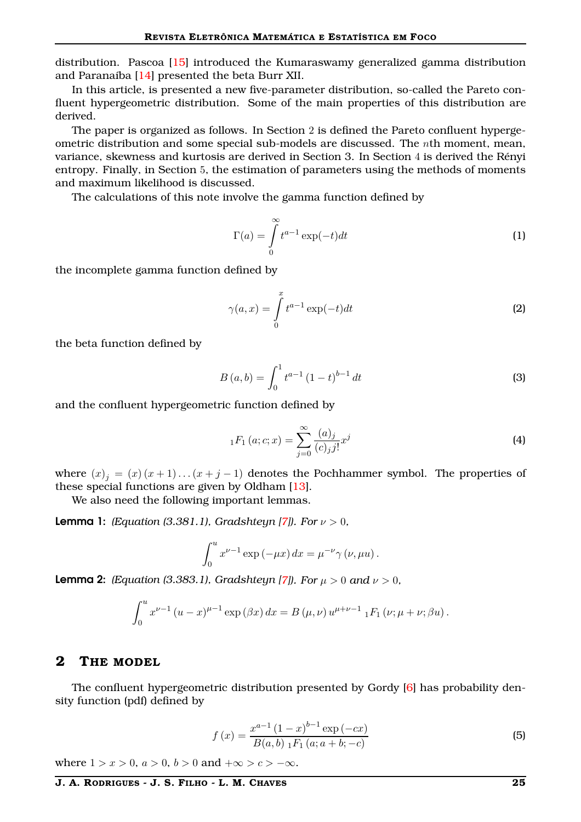distribution. Pascoa [\[15\]](#page-6-9) introduced the Kumaraswamy generalized gamma distribution and Paranaíba [\[14\]](#page-6-10) presented the beta Burr XII.

In this article, is presented a new five-parameter distribution, so-called the Pareto confluent hypergeometric distribution. Some of the main properties of this distribution are derived.

The paper is organized as follows. In Section 2 is defined the Pareto confluent hypergeometric distribution and some special sub-models are discussed. The nth moment, mean, variance, skewness and kurtosis are derived in Section 3. In Section 4 is derived the Rényi entropy. Finally, in Section 5, the estimation of parameters using the methods of moments and maximum likelihood is discussed.

<span id="page-1-0"></span>The calculations of this note involve the gamma function defined by

$$
\Gamma(a) = \int_{0}^{\infty} t^{a-1} \exp(-t) dt
$$
 (1)

the incomplete gamma function defined by

$$
\gamma(a,x) = \int_{0}^{x} t^{a-1} \exp(-t) dt
$$
 (2)

the beta function defined by

$$
B(a,b) = \int_0^1 t^{a-1} (1-t)^{b-1} dt
$$
 (3)

and the confluent hypergeometric function defined by

$$
{}_{1}F_{1}(a;c;x) = \sum_{j=0}^{\infty} \frac{(a)_{j}}{(c)_{j}j!} x^{j}
$$
\n(4)

where  $(x)$ <sub>j</sub> =  $(x)(x+1)...(x+j-1)$  denotes the Pochhammer symbol. The properties of these special functions are given by Oldham [\[13\]](#page-6-11).

We also need the following important lemmas.

<span id="page-1-1"></span>**Lemma 1:** *(Equation (3.381.1), Gradshteyn [\[7\]](#page-6-12)). For*  $\nu > 0$ *,* 

$$
\int_0^u x^{\nu-1} \exp(-\mu x) dx = \mu^{-\nu} \gamma(\nu, \mu u).
$$

<span id="page-1-2"></span>**Lemma 2:** *(Equation (3.383.1), Gradshteyn [\[7\]](#page-6-12)). For*  $\mu > 0$  *and*  $\nu > 0$ *,* 

$$
\int_0^u x^{\nu-1} (u-x)^{\mu-1} \exp(\beta x) dx = B(\mu, \nu) u^{\mu+\nu-1} {}_1F_1(\nu; \mu+\nu; \beta u).
$$

### **2 THE MODEL**

The confluent hypergeometric distribution presented by Gordy [\[6\]](#page-6-13) has probability density function (pdf) defined by

$$
f(x) = \frac{x^{a-1} (1-x)^{b-1} \exp(-cx)}{B(a,b) \; _1F_1(a; a+b; -c)} \tag{5}
$$

where  $1 > x > 0$ ,  $a > 0$ ,  $b > 0$  and  $+\infty > c > -\infty$ .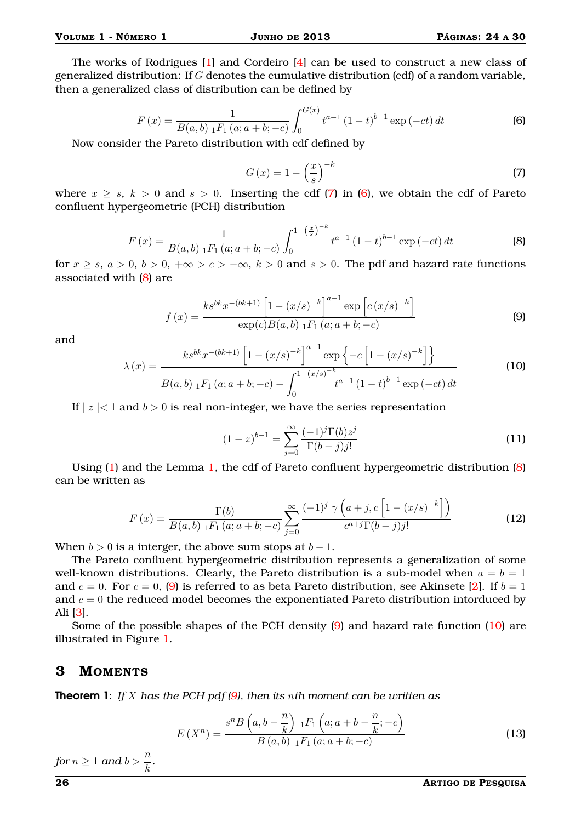$$
F(x) = \frac{1}{B(a, b) \, 1^{F_1}(a; a + b; -c)} \int_0^{G(x)} t^{a-1} (1-t)^{b-1} \exp(-ct) \, dt \tag{6}
$$

<span id="page-2-1"></span><span id="page-2-0"></span>Now consider the Pareto distribution with cdf defined by

$$
G\left(x\right) = 1 - \left(\frac{x}{s}\right)^{-k} \tag{7}
$$

<span id="page-2-2"></span>where  $x \geq s$ ,  $k > 0$  and  $s > 0$ . Inserting the cdf [\(7\)](#page-2-0) in [\(6\)](#page-2-1), we obtain the cdf of Pareto confluent hypergeometric (PCH) distribution

$$
F(x) = \frac{1}{B(a,b) \; _1F_1(a;a+b;-c)} \int_0^{1-\left(\frac{x}{s}\right)^{-k}} t^{a-1} (1-t)^{b-1} \exp\left(-ct\right) dt
$$
 (8)

<span id="page-2-3"></span>for  $x \geq s$ ,  $a > 0$ ,  $b > 0$ ,  $+\infty > c > -\infty$ ,  $k > 0$  and  $s > 0$ . The pdf and hazard rate functions associated with [\(8\)](#page-2-2) are

$$
f(x) = \frac{k s^{bk} x^{-(bk+1)} \left[ 1 - (x/s)^{-k} \right]^{a-1} \exp\left[ c (x/s)^{-k} \right]}{\exp(c) B(a, b) \, {}_1F_1(a; a+b; -c)}
$$
(9)

<span id="page-2-4"></span>and

$$
\lambda(x) = \frac{k s^{bk} x^{-(bk+1)} \left[ 1 - (x/s)^{-k} \right]^{a-1} \exp\left\{ -c \left[ 1 - (x/s)^{-k} \right] \right\}}{B(a, b) \, {}_1F_1(a; a+b; -c) - \int_0^{1 - (x/s)^{-k}} t^{a-1} (1-t)^{b-1} \exp\left(-ct\right) dt}
$$
\n(10)

If  $|z| < 1$  and  $b > 0$  is real non-integer, we have the series representation

$$
(1-z)^{b-1} = \sum_{j=0}^{\infty} \frac{(-1)^j \Gamma(b) z^j}{\Gamma(b-j) j!}
$$
 (11)

Using  $(1)$  and the Lemma [1,](#page-1-1) the cdf of Pareto confluent hypergeometric distribution  $(8)$ can be written as

$$
F(x) = \frac{\Gamma(b)}{B(a,b) \, {}_1F_1(a;a+b;-c)} \sum_{j=0}^{\infty} \frac{(-1)^j \, \gamma\left(a+j, c\left[1-(x/s)^{-k}\right]\right)}{c^{a+j}\Gamma(b-j)j!}
$$
(12)

When  $b > 0$  is a interger, the above sum stops at  $b - 1$ .

The Pareto confluent hypergeometric distribution represents a generalization of some well-known distributions. Clearly, the Pareto distribution is a sub-model when  $a = b = 1$ and  $c = 0$ . For  $c = 0$ , [\(9\)](#page-2-3) is referred to as beta Pareto distribution, see Akinsete [\[2\]](#page-6-6). If  $b = 1$ and  $c = 0$  the reduced model becomes the exponentiated Pareto distribution intorduced by Ali [\[3\]](#page-6-4).

Some of the possible shapes of the PCH density [\(9\)](#page-2-3) and hazard rate function [\(10\)](#page-2-4) are illustrated in Figure [1.](#page-3-0)

## **3 MOMENTS**

Theorem 1: *If* X *has the PCH pdf [\(9\)](#page-2-3), then its* n*th moment can be written as*

$$
E(X^{n}) = \frac{s^{n}B\left(a,b-\frac{n}{k}\right) {}_{1}F_{1}\left(a;a+b-\frac{n}{k};-c\right)}{B\left(a,b\right) {}_{1}F_{1}\left(a;a+b;-c\right)}
$$
\n(13)

for  $n \geq 1$  and  $b > \frac{n}{k}$ .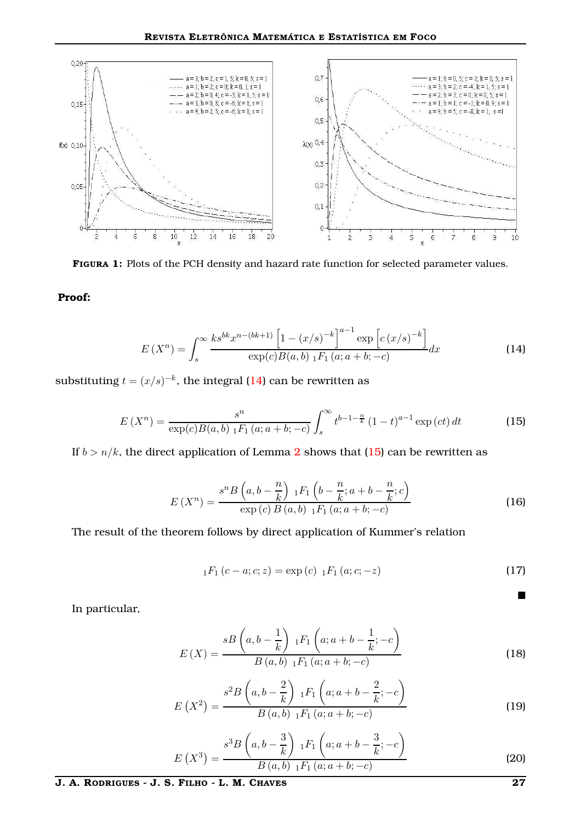<span id="page-3-0"></span>

**FIGURA 1:** Plots of the PCH density and hazard rate function for selected parameter values.

**Proof:**

$$
E(X^{n}) = \int_{s}^{\infty} \frac{k s^{bk} x^{n-(bk+1)} \left[1 - (x/s)^{-k}\right]^{a-1} \exp\left[c (x/s)^{-k}\right]}{\exp(c) B(a, b) \; {}_{1}F_{1}(a; a+b; -c)} dx
$$
 (14)

substituting  $t = (x/s)^{-k}$ , the integral [\(14\)](#page-3-1) can be rewritten as

$$
E(X^{n}) = \frac{s^{n}}{\exp(c)B(a,b) \, 1_{\Gamma_{1}}(a; a+b; -c)} \int_{s}^{\infty} t^{b-1-\frac{n}{k}} (1-t)^{a-1} \exp(ct) \, dt \tag{15}
$$

If  $b > n/k$ , the direct application of Lemma [2](#page-1-2) shows that [\(15\)](#page-3-2) can be rewritten as

$$
E(X^{n}) = \frac{s^{n}B\left(a,b-\frac{n}{k}\right) {}_{1}F_{1}\left(b-\frac{n}{k};a+b-\frac{n}{k};c\right)}{\exp(c) B\left(a,b\right) {}_{1}F_{1}\left(a;a+b;-c\right)}\tag{16}
$$

The result of the theorem follows by direct application of Kummer's relation

$$
{}_{1}F_{1}(c-a;c;z) = \exp(c) {}_{1}F_{1}(a;c;-z)
$$
\n(17)

<span id="page-3-2"></span><span id="page-3-1"></span> $\blacksquare$ 

In particular,

$$
E(X) = \frac{sB\left(a, b - \frac{1}{k}\right) \, {}_1F_1\left(a; a + b - \frac{1}{k}; -c\right)}{B\left(a, b\right) \, {}_1F_1\left(a; a + b; -c\right)}\tag{18}
$$

$$
E(X^{2}) = \frac{s^{2}B\left(a,b-\frac{2}{k}\right) {}_{1}F_{1}\left(a;a+b-\frac{2}{k};-c\right)}{B\left(a,b\right) {}_{1}F_{1}\left(a;a+b;-c\right)}
$$
(19)

$$
E(X^3) = \frac{s^3 B\left(a, b - \frac{3}{k}\right) \, {}_1F_1\left(a; a + b - \frac{3}{k}; -c\right)}{B\left(a, b\right) \, {}_1F_1\left(a; a + b; -c\right)}\tag{20}
$$

**J. A. RODRIGUES - J. S. FILHO - L. M. CHAVES 27**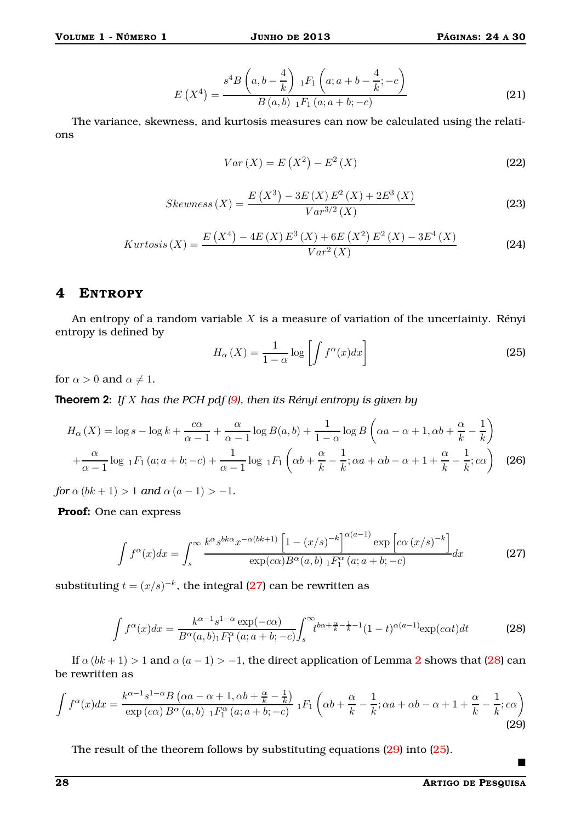$$
E(X^{4}) = \frac{s^{4}B\left(a,b-\frac{4}{k}\right) {}_{1}F_{1}\left(a;a+b-\frac{4}{k};-c\right)}{B\left(a,b\right) {}_{1}F_{1}\left(a;a+b;-c\right)}
$$
(21)

The variance, skewness, and kurtosis measures can now be calculated using the relations

$$
Var(X) = E(X^{2}) - E^{2}(X)
$$
\n(22)

$$
Skewness(X) = \frac{E(X^3) - 3E(X)E^2(X) + 2E^3(X)}{Var^{3/2}(X)}
$$
(23)

$$
Kurtosis(X) = \frac{E(X^4) - 4E(X)E^3(X) + 6E(X^2)E^2(X) - 3E^4(X)}{Var^2(X)}
$$
(24)

# **4 ENTROPY**

An entropy of a random variable  $X$  is a measure of variation of the uncertainty. Rényi entropy is defined by

<span id="page-4-3"></span>
$$
H_{\alpha}\left(X\right) = \frac{1}{1-\alpha} \log \left[ \int f^{\alpha}(x) dx \right]
$$
 (25)

for  $\alpha > 0$  and  $\alpha \neq 1$ .

Theorem 2: *If* X *has the PCH pdf [\(9\)](#page-2-3), then its Rényi entropy is given by*

$$
H_{\alpha}(X) = \log s - \log k + \frac{c\alpha}{\alpha - 1} + \frac{\alpha}{\alpha - 1}\log B(a, b) + \frac{1}{1 - \alpha}\log B\left(\alpha a - \alpha + 1, \alpha b + \frac{\alpha}{k} - \frac{1}{k}\right)
$$

$$
+ \frac{\alpha}{\alpha - 1}\log_{1}F_{1}(a; a + b; -c) + \frac{1}{\alpha - 1}\log_{1}F_{1}\left(\alpha b + \frac{\alpha}{k} - \frac{1}{k}; \alpha a + \alpha b - \alpha + 1 + \frac{\alpha}{k} - \frac{1}{k}; c\alpha\right) \quad \text{(26)}
$$

*for*  $\alpha$  (*bk* + 1) > 1 *and*  $\alpha$  (*a* − 1) > −1*.* 

**Proof:** One can express

$$
\int f^{\alpha}(x)dx = \int_{s}^{\infty} \frac{k^{\alpha}s^{bk\alpha}x^{-\alpha(bk+1)}\left[1 - (x/s)^{-k}\right]^{\alpha(a-1)}\exp\left[c\alpha\left(x/s\right)^{-k}\right]}{\exp(c\alpha)B^{\alpha}(a,b)\; {}_1F_1^{\alpha}(a;a+b;-c)}dx
$$
\n(27)

substituting  $t = (x/s)^{-k}$ , the integral [\(27\)](#page-4-0) can be rewritten as

$$
\int f^{\alpha}(x)dx = \frac{k^{\alpha-1}s^{1-\alpha}\exp(-c\alpha)}{B^{\alpha}(a,b)_{1}F_{1}^{\alpha}(a;a+b;-c)}\int_{s}^{\infty}t^{b\alpha+\frac{\alpha}{k}-\frac{1}{k}-1}(1-t)^{\alpha(a-1)}\exp(c\alpha t)dt
$$
\n(28)

If  $\alpha (bk + 1) > 1$  and  $\alpha (a - 1) > -1$ , the direct application of Lemma [2](#page-1-2) shows that [\(28\)](#page-4-1) can be rewritten as

$$
\int f^{\alpha}(x)dx = \frac{k^{\alpha-1}s^{1-\alpha}B(\alpha a - \alpha + 1, \alpha b + \frac{\alpha}{k} - \frac{1}{k})}{\exp(c\alpha)B^{\alpha}(a, b) \ {}_1F_1^{\alpha}(a; a + b; -c)} \ {}_1F_1\left(\alpha b + \frac{\alpha}{k} - \frac{1}{k}; \alpha a + \alpha b - \alpha + 1 + \frac{\alpha}{k} - \frac{1}{k}; c\alpha\right)
$$
\n(29)

The result of the theorem follows by substituting equations [\(29\)](#page-4-2) into [\(25\)](#page-4-3).

<span id="page-4-2"></span><span id="page-4-1"></span><span id="page-4-0"></span> $\blacksquare$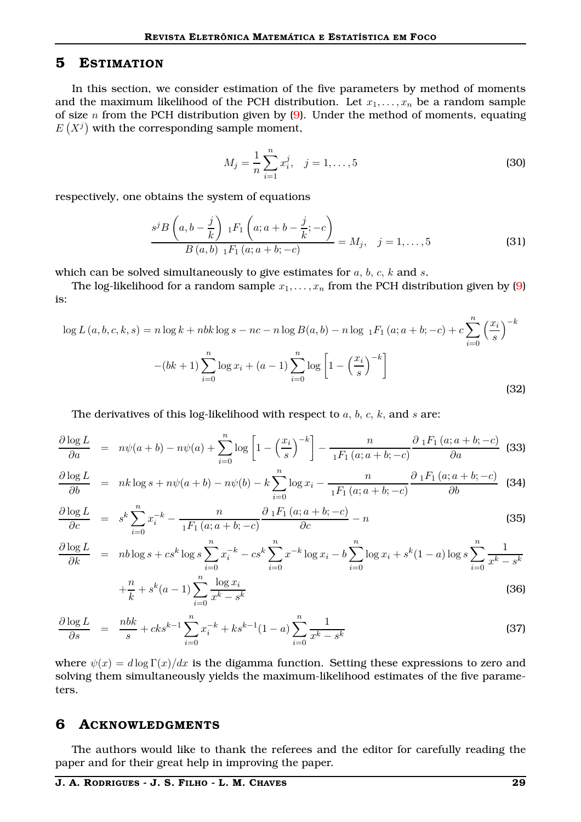#### **5 ESTIMATION**

In this section, we consider estimation of the five parameters by method of moments and the maximum likelihood of the PCH distribution. Let  $x_1, \ldots, x_n$  be a random sample of size  $n$  from the PCH distribution given by  $(9)$ . Under the method of moments, equating  $E(X<sup>j</sup>)$  with the corresponding sample moment,

$$
M_j = \frac{1}{n} \sum_{i=1}^{n} x_i^j, \quad j = 1, \dots, 5
$$
 (30)

respectively, one obtains the system of equations

$$
\frac{s^{j}B\left(a,b-\frac{j}{k}\right) \, {}_1F_1\left(a;a+b-\frac{j}{k};-c\right)}{B\left(a,b\right) \, {}_1F_1\left(a;a+b;-c\right)}=M_j, \quad j=1,\ldots,5
$$
\n(31)

which can be solved simultaneously to give estimates for  $a, b, c, k$  and  $s$ .

The log-likelihood for a random sample  $x_1, \ldots, x_n$  from the PCH distribution given by [\(9\)](#page-2-3) is:

$$
\log L(a, b, c, k, s) = n \log k + nbk \log s - nc - n \log B(a, b) - n \log_{1} F_{1}(a; a + b; -c) + c \sum_{i=0}^{n} \left(\frac{x_{i}}{s}\right)^{-k}
$$

$$
-(bk + 1) \sum_{i=0}^{n} \log x_{i} + (a - 1) \sum_{i=0}^{n} \log \left[1 - \left(\frac{x_{i}}{s}\right)^{-k}\right]
$$
(32)

The derivatives of this log-likelihood with respect to  $a, b, c, k$ , and  $s$  are:

$$
\frac{\partial \log L}{\partial a} = n\psi(a+b) - n\psi(a) + \sum_{i=0}^{n} \log \left[ 1 - \left(\frac{x_i}{s}\right)^{-k} \right] - \frac{n}{{}_1F_1\left(a; a+b;-c\right)} \frac{\partial {}_1F_1\left(a; a+b;-c\right)}{\partial a} \tag{33}
$$

$$
\frac{\partial \log L}{\partial b} = nk \log s + n\psi(a+b) - n\psi(b) - k \sum_{i=0}^{n} \log x_i - \frac{n}{1F_1(a; a+b; -c)} \frac{\partial_1 F_1(a; a+b; -c)}{\partial b}
$$
 (34)

$$
\frac{\partial \log L}{\partial c} = s^k \sum_{i=0}^n x_i^{-k} - \frac{n}{iF_1(a; a+b; -c)} \frac{\partial iF_1(a; a+b; -c)}{\partial c} - n
$$
\n(35)

$$
\frac{\partial \log L}{\partial k} = nb \log s + cs^k \log s \sum_{i=0}^n x_i^{-k} - cs^k \sum_{i=0}^n x^{-k} \log x_i - b \sum_{i=0}^n \log x_i + s^k (1 - a) \log s \sum_{i=0}^n \frac{1}{x^k - s^k}
$$

$$
+\frac{n}{k} + s^k(a-1) \sum_{i=0}^n \frac{\log x_i}{x^k - s^k}
$$
\n(36)

$$
\frac{\partial \log L}{\partial s} = \frac{nbk}{s} + cks^{k-1} \sum_{i=0}^{n} x_i^{-k} + ks^{k-1} (1-a) \sum_{i=0}^{n} \frac{1}{x^k - s^k}
$$
(37)

where  $\psi(x) = d \log \Gamma(x)/dx$  is the digamma function. Setting these expressions to zero and solving them simultaneously yields the maximum-likelihood estimates of the five parameters.

#### **6 ACKNOWLEDGMENTS**

The authors would like to thank the referees and the editor for carefully reading the paper and for their great help in improving the paper.